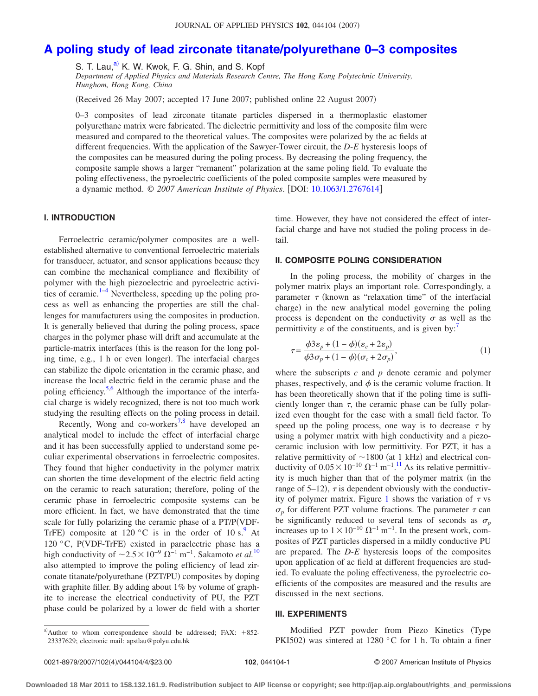# **[A poling study of lead zirconate titanate/polyurethane 0–3 composites](http://dx.doi.org/10.1063/1.2767614)**

S. T. Lau,<sup>a)</sup> K. W. Kwok, F. G. Shin, and S. Kopf

*Department of Applied Physics and Materials Research Centre, The Hong Kong Polytechnic University, Hunghom, Hong Kong, China*

(Received 26 May 2007; accepted 17 June 2007; published online 22 August 2007)

0–3 composites of lead zirconate titanate particles dispersed in a thermoplastic elastomer polyurethane matrix were fabricated. The dielectric permittivity and loss of the composite film were measured and compared to the theoretical values. The composites were polarized by the ac fields at different frequencies. With the application of the Sawyer-Tower circuit, the *D*-*E* hysteresis loops of the composites can be measured during the poling process. By decreasing the poling frequency, the composite sample shows a larger "remanent" polarization at the same poling field. To evaluate the poling effectiveness, the pyroelectric coefficients of the poled composite samples were measured by a dynamic method. © *2007 American Institute of Physics*. DOI: [10.1063/1.2767614](http://dx.doi.org/10.1063/1.2767614)

## **I. INTRODUCTION**

Ferroelectric ceramic/polymer composites are a wellestablished alternative to conventional ferroelectric materials for transducer, actuator, and sensor applications because they can combine the mechanical compliance and flexibility of polymer with the high piezoelectric and pyroelectric activities of ceramic. $1-4$  $1-4$  Nevertheless, speeding up the poling process as well as enhancing the properties are still the challenges for manufacturers using the composites in production. It is generally believed that during the poling process, space charges in the polymer phase will drift and accumulate at the particle-matrix interfaces (this is the reason for the long poling time, e.g., 1 h or even longer). The interfacial charges can stabilize the dipole orientation in the ceramic phase, and increase the local electric field in the ceramic phase and the poling efficiency.<sup>5,[6](#page-3-3)</sup> Although the importance of the interfacial charge is widely recognized, there is not too much work studying the resulting effects on the poling process in detail.

Recently, Wong and co-workers<sup>7,[8](#page-3-5)</sup> have developed an analytical model to include the effect of interfacial charge and it has been successfully applied to understand some peculiar experimental observations in ferroelectric composites. They found that higher conductivity in the polymer matrix can shorten the time development of the electric field acting on the ceramic to reach saturation; therefore, poling of the ceramic phase in ferroelectric composite systems can be more efficient. In fact, we have demonstrated that the time scale for fully polarizing the ceramic phase of a PT/P(VDF-TrFE) composite at 120 °C is in the order of 10 s.<sup>9</sup> At 120 °C, P(VDF-TrFE) existed in paraelectric phase has a high conductivity of  $\sim$ 2.5 $\times$ [10](#page-3-7)<sup>-9</sup>  $\Omega$ <sup>-1</sup> m<sup>-1</sup>. Sakamoto *et al.*<sup>10</sup> also attempted to improve the poling efficiency of lead zirconate titanate/polyurethane (PZT/PU) composites by doping with graphite filler. By adding about 1% by volume of graphite to increase the electrical conductivity of PU, the PZT phase could be polarized by a lower dc field with a shorter

time. However, they have not considered the effect of interfacial charge and have not studied the poling process in detail.

# **II. COMPOSITE POLING CONSIDERATION**

In the poling process, the mobility of charges in the polymer matrix plays an important role. Correspondingly, a parameter  $\tau$  (known as "relaxation time" of the interfacial charge) in the new analytical model governing the poling process is dependent on the conductivity  $\sigma$  as well as the permittivity  $\varepsilon$  of the constituents, and is given by:<sup>7</sup>

<span id="page-0-1"></span>
$$
\tau = \frac{\phi 3\varepsilon_p + (1 - \phi)(\varepsilon_c + 2\varepsilon_p)}{\phi 3\sigma_p + (1 - \phi)(\sigma_c + 2\sigma_p)},\tag{1}
$$

where the subscripts *c* and *p* denote ceramic and polymer phases, respectively, and  $\phi$  is the ceramic volume fraction. It has been theoretically shown that if the poling time is sufficiently longer than  $\tau$ , the ceramic phase can be fully polarized even thought for the case with a small field factor. To speed up the poling process, one way is to decrease  $\tau$  by using a polymer matrix with high conductivity and a piezoceramic inclusion with low permittivity. For PZT, it has a relative permittivity of  $\sim$  1800 (at 1 kHz) and electrical conductivity of  $0.05 \times 10^{-10} \Omega^{-1}$  m<sup>-1.[11](#page-3-8)</sup> As its relative permittivity is much higher than that of the polymer matrix (in the range of 5–12),  $\tau$  is dependent obviously with the conductiv-ity of polymer matrix. Figure [1](#page-1-0) shows the variation of  $\tau$  vs  $\sigma_p$  for different PZT volume fractions. The parameter  $\tau$  can be significantly reduced to several tens of seconds as  $\sigma_p$ increases up to  $1 \times 10^{-10} \Omega^{-1}$  m<sup>-1</sup>. In the present work, composites of PZT particles dispersed in a mildly conductive PU are prepared. The *D*-*E* hysteresis loops of the composites upon application of ac field at different frequencies are studied. To evaluate the poling effectiveness, the pyroelectric coefficients of the composites are measured and the results are discussed in the next sections.

#### **III. EXPERIMENTS**

Modified PZT powder from Piezo Kinetics (Type PKI502) was sintered at 1280  $\degree$ C for 1 h. To obtain a finer

<span id="page-0-0"></span>a)Author to whom correspondence should be addressed; FAX:  $+852-$ 23337629; electronic mail: apstlau@polyu.edu.hk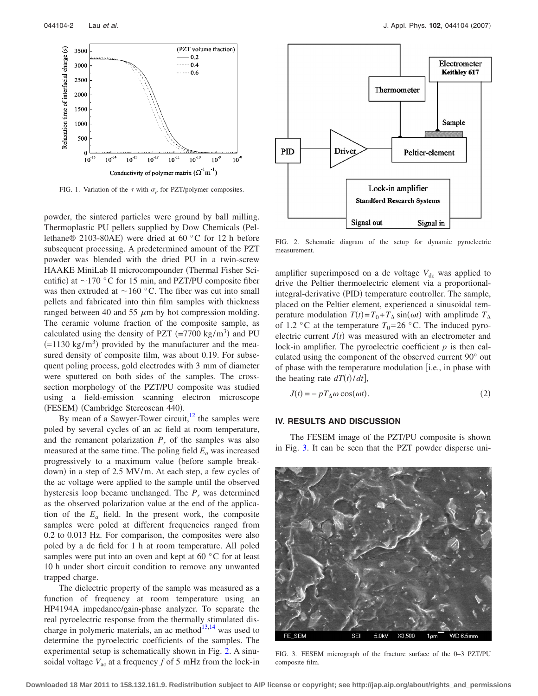<span id="page-1-0"></span>

FIG. 1. Variation of the  $\tau$  with  $\sigma_p$  for PZT/polymer composites.

powder, the sintered particles were ground by ball milling. Thermoplastic PU pellets supplied by Dow Chemicals (Pellethane® 2103-80AE) were dried at 60 °C for 12 h before subsequent processing. A predetermined amount of the PZT powder was blended with the dried PU in a twin-screw HAAKE MiniLab II microcompounder (Thermal Fisher Scientific) at  $\sim$  170 °C for 15 min, and PZT/PU composite fiber was then extruded at  $\sim$ 160 °C. The fiber was cut into small pellets and fabricated into thin film samples with thickness ranged between 40 and 55  $\mu$ m by hot compression molding. The ceramic volume fraction of the composite sample, as calculated using the density of PZT  $(=7700 \text{ kg/m}^3)$  and PU  $(=1130 \text{ kg/m}^3)$  provided by the manufacturer and the measured density of composite film, was about 0.19. For subsequent poling process, gold electrodes with 3 mm of diameter were sputtered on both sides of the samples. The crosssection morphology of the PZT/PU composite was studied using a field-emission scanning electron microscope (FESEM) (Cambridge Stereoscan 440).

By mean of a Sawyer-Tower circuit, $12$  the samples were poled by several cycles of an ac field at room temperature, and the remanent polarization  $P_r$  of the samples was also measured at the same time. The poling field  $E_a$  was increased progressively to a maximum value (before sample breakdown) in a step of 2.5 MV/m. At each step, a few cycles of the ac voltage were applied to the sample until the observed hysteresis loop became unchanged. The  $P_r$  was determined as the observed polarization value at the end of the application of the  $E_a$  field. In the present work, the composite samples were poled at different frequencies ranged from 0.2 to 0.013 Hz. For comparison, the composites were also poled by a dc field for 1 h at room temperature. All poled samples were put into an oven and kept at 60 °C for at least 10 h under short circuit condition to remove any unwanted trapped charge.

The dielectric property of the sample was measured as a function of frequency at room temperature using an HP4194A impedance/gain-phase analyzer. To separate the real pyroelectric response from the thermally stimulated discharge in polymeric materials, an ac method $^{13,14}$  $^{13,14}$  $^{13,14}$  was used to determine the pyroelectric coefficients of the samples. The experimental setup is schematically shown in Fig. [2.](#page-1-1) A sinusoidal voltage  $V_{ac}$  at a frequency  $f$  of 5 mHz from the lock-in

<span id="page-1-1"></span>

FIG. 2. Schematic diagram of the setup for dynamic pyroelectric measurement.

amplifier superimposed on a dc voltage  $V_{dc}$  was applied to drive the Peltier thermoelectric element via a proportionalintegral-derivative (PID) temperature controller. The sample, placed on the Peltier element, experienced a sinusoidal temperature modulation  $T(t) = T_0 + T_\Delta \sin(\omega t)$  with amplitude  $T_\Delta$ of 1.2 °C at the temperature  $T_0=26$  °C. The induced pyroelectric current  $J(t)$  was measured with an electrometer and lock-in amplifier. The pyroelectric coefficient  $p$  is then calculated using the component of the observed current 90° out of phase with the temperature modulation [i.e., in phase with the heating rate  $dT(t)/dt$ ,

$$
J(t) = -pT_{\Delta}\omega\cos(\omega t). \tag{2}
$$

### **IV. RESULTS AND DISCUSSION**

The FESEM image of the PZT/PU composite is shown in Fig. [3.](#page-1-2) It can be seen that the PZT powder disperse uni-

<span id="page-1-2"></span>

FIG. 3. FESEM micrograph of the fracture surface of the 0–3 PZT/PU composite film.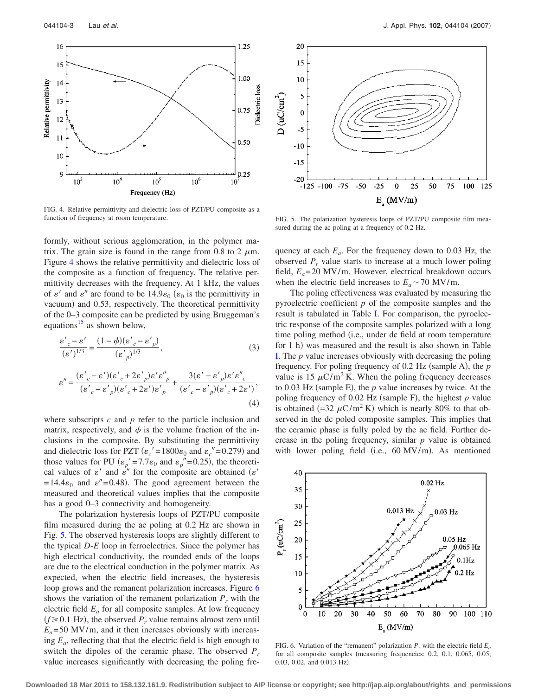<span id="page-2-0"></span>

FIG. 4. Relative permittivity and dielectric loss of PZT/PU composite as a function of frequency at room temperature. FIG. 5. The polarization hysteresis loops of PZT/PU composite film mea-

formly, without serious agglomeration, in the polymer matrix. The grain size is found in the range from 0.8 to 2  $\mu$ m. Figure [4](#page-2-0) shows the relative permittivity and dielectric loss of the composite as a function of frequency. The relative permittivity decreases with the frequency. At 1 kHz, the values of  $\varepsilon'$  and  $\varepsilon''$  are found to be 14.9 $\varepsilon_0$  ( $\varepsilon_0$  is the permittivity in vacuum) and 0.53, respectively. The theoretical permittivity of the 0–3 composite can be predicted by using Bruggeman's equations $^{15}$  as shown below,

$$
\frac{\varepsilon'_{c} - \varepsilon'}{(\varepsilon')^{1/3}} = \frac{(1 - \phi)(\varepsilon'_{c} - \varepsilon'_{p})}{(\varepsilon'_{p})^{1/3}},
$$
\n(3)

$$
\varepsilon'' = \frac{(\varepsilon'_{c} - \varepsilon')(\varepsilon'_{c} + 2\varepsilon'_{p})\varepsilon'\varepsilon''_{p}}{(\varepsilon'_{c} - \varepsilon'_{p})(\varepsilon'_{c} + 2\varepsilon')\varepsilon'_{p}} + \frac{3(\varepsilon' - \varepsilon'_{p})\varepsilon'\varepsilon''_{c}}{(\varepsilon'_{c} - \varepsilon'_{p})(\varepsilon'_{c} + 2\varepsilon')},
$$
\n(4)

where subscripts *c* and *p* refer to the particle inclusion and matrix, respectively, and  $\phi$  is the volume fraction of the inclusions in the composite. By substituting the permittivity and dielectric loss for PZT  $(\varepsilon_c' = 1800\varepsilon_0$  and  $\varepsilon_c'' = 0.279)$  and those values for PU  $(\varepsilon_p' = 7.7 \varepsilon_0 \text{ and } \varepsilon_p'' = 0.25)$ , the theoretical values of  $\varepsilon'$  and  $\varepsilon''$  for the composite are obtained ( $\varepsilon'$ )  $=14.4\varepsilon_0$  and  $\varepsilon''=0.48$ ). The good agreement between the measured and theoretical values implies that the composite has a good 0–3 connectivity and homogeneity.

The polarization hysteresis loops of PZT/PU composite film measured during the ac poling at 0.2 Hz are shown in Fig. [5.](#page-2-1) The observed hysteresis loops are slightly different to the typical *D*-*E* loop in ferroelectrics. Since the polymer has high electrical conductivity, the rounded ends of the loops are due to the electrical conduction in the polymer matrix. As expected, when the electric field increases, the hysteresis loop grows and the remanent polarization increases. Figure [6](#page-2-2) shows the variation of the remanent polarization  $P_r$  with the electric field  $E_a$  for all composite samples. At low frequency  $(f \ge 0.1 \text{ Hz})$ , the observed  $P_r$  value remains almost zero until  $E_a$ =50 MV/m, and it then increases obviously with increasing  $E_a$ , reflecting that that the electric field is high enough to switch the dipoles of the ceramic phase. The observed  $P_r$ value increases significantly with decreasing the poling fre-

<span id="page-2-1"></span>

sured during the ac poling at a frequency of 0.2 Hz.

quency at each  $E_a$ . For the frequency down to 0.03 Hz, the observed  $P_r$  value starts to increase at a much lower poling field, *Ea*=20 MV/m. However, electrical breakdown occurs when the electric field increases to  $E_a \sim 70$  MV/m.

The poling effectiveness was evaluated by measuring the pyroelectric coefficient *p* of the composite samples and the result is tabulated in Table [I.](#page-3-13) For comparison, the pyroelectric response of the composite samples polarized with a long time poling method (i.e., under dc field at room temperature for 1 h) was measured and the result is also shown in Table [I.](#page-3-13) The *p* value increases obviously with decreasing the poling frequency. For poling frequency of  $0.2$  Hz (sample A), the  $p$ value is 15  $\mu$ C/m<sup>2</sup> K. When the poling frequency decreases to  $0.03$  Hz (sample E), the  $p$  value increases by twice. At the poling frequency of  $0.02$  Hz (sample F), the highest  $p$  value is obtained (=32  $\mu$ C/m<sup>2</sup> K) which is nearly 80% to that observed in the dc poled composite samples. This implies that the ceramic phase is fully poled by the ac field. Further decrease in the poling frequency, similar *p* value is obtained with lower poling field (i.e., 60 MV/m). As mentioned

<span id="page-2-2"></span>

FIG. 6. Variation of the "remanent" polarization  $P_r$  with the electric field  $E_a$ for all composite samples (measuring frequencies:  $0.2$ ,  $0.1$ ,  $0.065$ ,  $0.05$ , 0.03, 0.02, and 0.013 Hz).